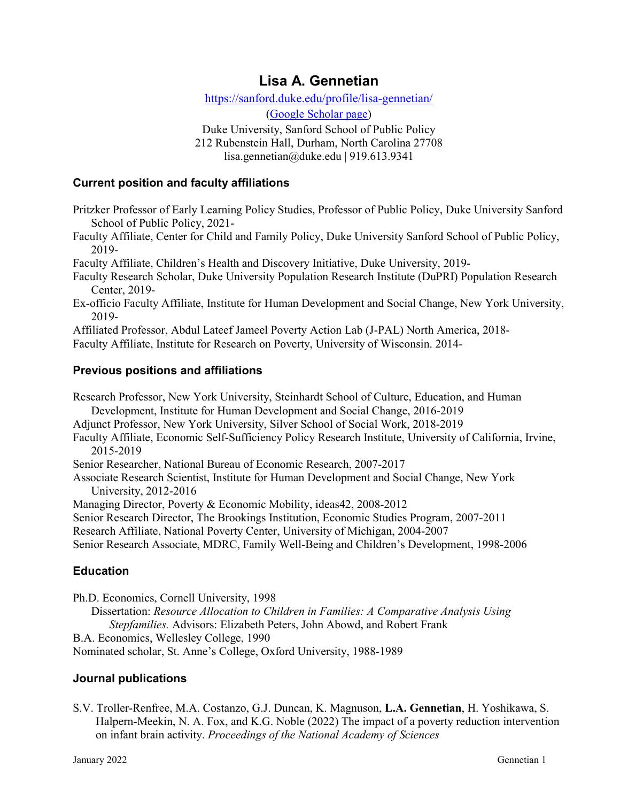# **Lisa A. Gennetian**

<https://sanford.duke.edu/profile/lisa-gennetian/> [\(Google Scholar](https://scholar.google.com/citations?hl=en&user=s9N6eI4AAAAJ&view_op=list_works) page)

Duke University, Sanford School of Public Policy 212 Rubenstein Hall, Durham, North Carolina 27708

lisa.gennetian@duke.edu | 919.613.9341

#### **Current position and faculty affiliations**

Pritzker Professor of Early Learning Policy Studies, Professor of Public Policy, Duke University Sanford School of Public Policy, 2021-

Faculty Affiliate, Center for Child and Family Policy, Duke University Sanford School of Public Policy, 2019-

Faculty Affiliate, Children's Health and Discovery Initiative, Duke University, 2019-

Faculty Research Scholar, Duke University Population Research Institute (DuPRI) Population Research Center, 2019-

Ex-officio Faculty Affiliate, Institute for Human Development and Social Change, New York University, 2019-

Affiliated Professor, Abdul Lateef Jameel Poverty Action Lab (J-PAL) North America, 2018-

Faculty Affiliate, Institute for Research on Poverty, University of Wisconsin. 2014-

## **Previous positions and affiliations**

Research Professor, New York University, Steinhardt School of Culture, Education, and Human Development, Institute for Human Development and Social Change, 2016-2019 Adjunct Professor, New York University, Silver School of Social Work, 2018-2019 Faculty Affiliate, Economic Self-Sufficiency Policy Research Institute, University of California, Irvine, 2015-2019 Senior Researcher, National Bureau of Economic Research, 2007-2017 Associate Research Scientist, Institute for Human Development and Social Change, New York University, 2012-2016 Managing Director, Poverty & Economic Mobility, ideas42, 2008-2012 Senior Research Director, The Brookings Institution, Economic Studies Program, 2007-2011 Research Affiliate, National Poverty Center, University of Michigan, 2004-2007 Senior Research Associate, MDRC, Family Well-Being and Children's Development, 1998-2006

## **Education**

Ph.D. Economics, Cornell University, 1998 Dissertation: *Resource Allocation to Children in Families: A Comparative Analysis Using Stepfamilies.* Advisors: Elizabeth Peters, John Abowd, and Robert Frank B.A. Economics, Wellesley College, 1990 Nominated scholar, St. Anne's College, Oxford University, 1988-1989

## **Journal publications**

S.V. Troller-Renfree, M.A. Costanzo, G.J. Duncan, K. Magnuson, **L.A. Gennetian**, H. Yoshikawa, S. Halpern-Meekin, N. A. Fox, and K.G. Noble (2022) The impact of a poverty reduction intervention on infant brain activity. *Proceedings of the National Academy of Sciences*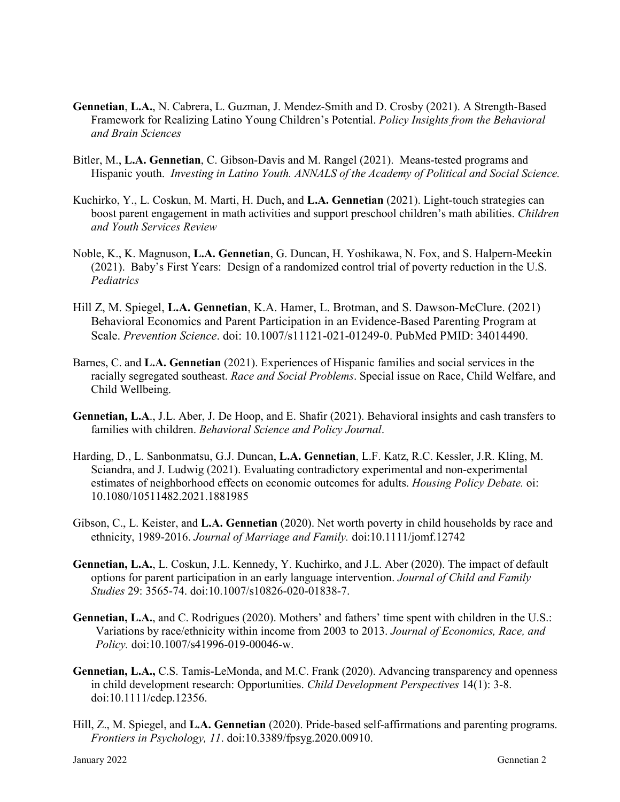- **Gennetian**, **L.A.**, N. Cabrera, L. Guzman, J. Mendez-Smith and D. Crosby (2021). A Strength-Based Framework for Realizing Latino Young Children's Potential. *Policy Insights from the Behavioral and Brain Sciences*
- Bitler, M., **L.A. Gennetian**, C. Gibson-Davis and M. Rangel (2021). Means-tested programs and Hispanic youth. *Investing in Latino Youth. ANNALS of the Academy of Political and Social Science.*
- Kuchirko, Y., L. Coskun, M. Marti, H. Duch, and **L.A. Gennetian** (2021). Light-touch strategies can boost parent engagement in math activities and support preschool children's math abilities. *Children and Youth Services Review*
- Noble, K., K. Magnuson, **L.A. Gennetian**, G. Duncan, H. Yoshikawa, N. Fox, and S. Halpern-Meekin (2021). Baby's First Years: Design of a randomized control trial of poverty reduction in the U.S. *Pediatrics*
- Hill Z, M. Spiegel, **L.A. Gennetian**, K.A. Hamer, L. Brotman, and S. Dawson-McClure. (2021) [Behavioral Economics and Parent Participation in an Evidence-Based Parenting Program at](https://www.ncbi.nlm.nih.gov/pubmed/34014490/)  [Scale.](https://www.ncbi.nlm.nih.gov/pubmed/34014490/) *Prevention Science*. doi: 10.1007/s11121-021-01249-0. PubMed PMID: 34014490.
- Barnes, C. and **L.A. Gennetian** (2021). Experiences of Hispanic families and social services in the racially segregated southeast. *Race and Social Problems*. Special issue on Race, Child Welfare, and Child Wellbeing.
- **Gennetian, L.A**., J.L. Aber, J. De Hoop, and E. Shafir (2021). Behavioral insights and cash transfers to families with children. *Behavioral Science and Policy Journal*.
- Harding, D., L. Sanbonmatsu, G.J. Duncan, **L.A. Gennetian**, L.F. Katz, R.C. Kessler, J.R. Kling, M. Sciandra, and J. Ludwig (2021). Evaluating contradictory experimental and non-experimental estimates of neighborhood effects on economic outcomes for adults. *Housing Policy Debate.* oi: 10.1080/10511482.2021.1881985
- Gibson, C., L. Keister, and **L.A. Gennetian** (2020). Net worth poverty in child households by race and ethnicity, 1989-2016. *Journal of Marriage and Family.* doi:10.1111/jomf.12742
- **Gennetian, L.A.**, L. Coskun, J.L. Kennedy, Y. Kuchirko, and J.L. Aber (2020). The impact of default options for parent participation in an early language intervention. *Journal of Child and Family Studies* 29: 3565-74. doi:10.1007/s10826-020-01838-7.
- **Gennetian, L.A.**, and C. Rodrigues (2020). Mothers' and fathers' time spent with children in the U.S.: Variations by race/ethnicity within income from 2003 to 2013. *Journal of Economics, Race, and Policy.* doi:10.1007/s41996-019-00046-w.
- **Gennetian, L.A.,** C.S. Tamis-LeMonda, and M.C. Frank (2020). Advancing transparency and openness in child development research: Opportunities. *Child Development Perspectives* 14(1): 3-8. doi:10.1111/cdep.12356.
- Hill, Z., M. Spiegel, and **L.A. Gennetian** (2020). Pride-based self-affirmations and parenting programs. *Frontiers in Psychology, 11*. doi:10.3389/fpsyg.2020.00910.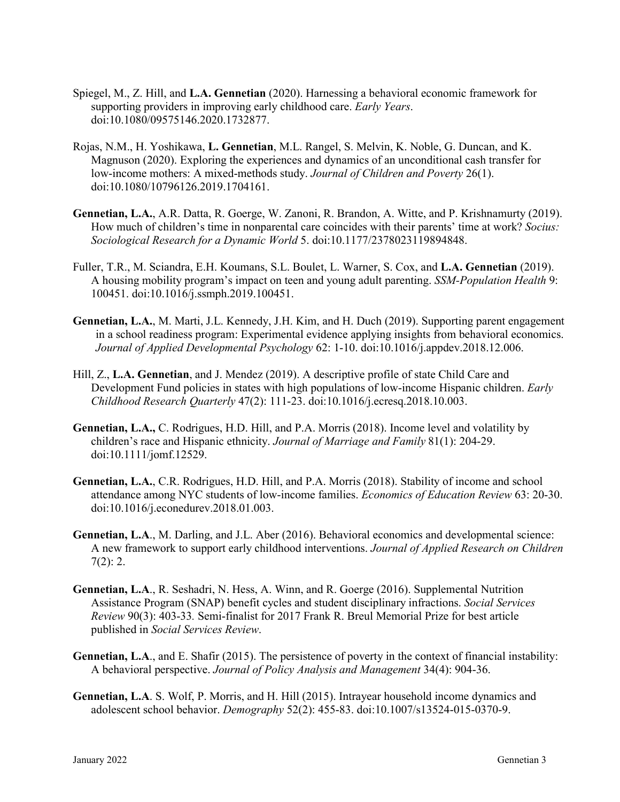- Spiegel, M., Z. Hill, and **L.A. Gennetian** (2020). Harnessing a behavioral economic framework for supporting providers in improving early childhood care. *Early Years*. doi:10.1080/09575146.2020.1732877.
- Rojas, N.M., H. Yoshikawa, **L. Gennetian**, M.L. Rangel, S. Melvin, K. Noble, G. Duncan, and K. Magnuson (2020). Exploring the experiences and dynamics of an unconditional cash transfer for low-income mothers: A mixed-methods study. *Journal of Children and Poverty* 26(1). doi:10.1080/10796126.2019.1704161.
- **Gennetian, L.A.**, A.R. Datta, R. Goerge, W. Zanoni, R. Brandon, A. Witte, and P. Krishnamurty (2019). How much of children's time in nonparental care coincides with their parents' time at work? *Socius: Sociological Research for a Dynamic World* 5. doi:10.1177/2378023119894848.
- Fuller, T.R., M. Sciandra, E.H. Koumans, S.L. Boulet, L. Warner, S. Cox, and **L.A. Gennetian** (2019). A housing mobility program's impact on teen and young adult parenting. *SSM-Population Health* 9: 100451. doi:10.1016/j.ssmph.2019.100451.
- **Gennetian, L.A.**, M. Marti, J.L. Kennedy, J.H. Kim, and H. Duch (2019). Supporting parent engagement in a school readiness program: Experimental evidence applying insights from behavioral economics. *Journal of Applied Developmental Psychology* 62: 1-10. doi:10.1016/j.appdev.2018.12.006.
- Hill, Z., **L.A. Gennetian**, and J. Mendez (2019). A descriptive profile of state Child Care and Development Fund policies in states with high populations of low-income Hispanic children. *Early Childhood Research Quarterly* 47(2): 111-23. doi:10.1016/j.ecresq.2018.10.003.
- **Gennetian, L.A.,** C. Rodrigues, H.D. Hill, and P.A. Morris (2018). Income level and volatility by children's race and Hispanic ethnicity. *Journal of Marriage and Family* 81(1): 204-29. doi:10.1111/jomf.12529.
- **Gennetian, L.A.**, C.R. Rodrigues, H.D. Hill, and P.A. Morris (2018). Stability of income and school attendance among NYC students of low-income families. *Economics of Education Review* 63: 20-30. doi:10.1016/j.econedurev.2018.01.003.
- **Gennetian, L.A**., M. Darling, and J.L. Aber (2016). Behavioral economics and developmental science: A new framework to support early childhood interventions. *Journal of Applied Research on Children*  $7(2): 2.$
- **Gennetian, L.A**., R. Seshadri, N. Hess, A. Winn, and R. Goerge (2016). Supplemental Nutrition Assistance Program (SNAP) benefit cycles and student disciplinary infractions. *Social Services Review* 90(3): 403-33*.* Semi-finalist for 2017 Frank R. Breul Memorial Prize for best article published in *Social Services Review*.
- **Gennetian, L.A**., and E. Shafir (2015). The persistence of poverty in the context of financial instability: A behavioral perspective. *Journal of Policy Analysis and Management* 34(4): 904-36.
- **Gennetian, L.A**. S. Wolf, P. Morris, and H. Hill (2015). Intrayear household income dynamics and adolescent school behavior. *Demography* 52(2): 455-83. doi:10.1007/s13524-015-0370-9.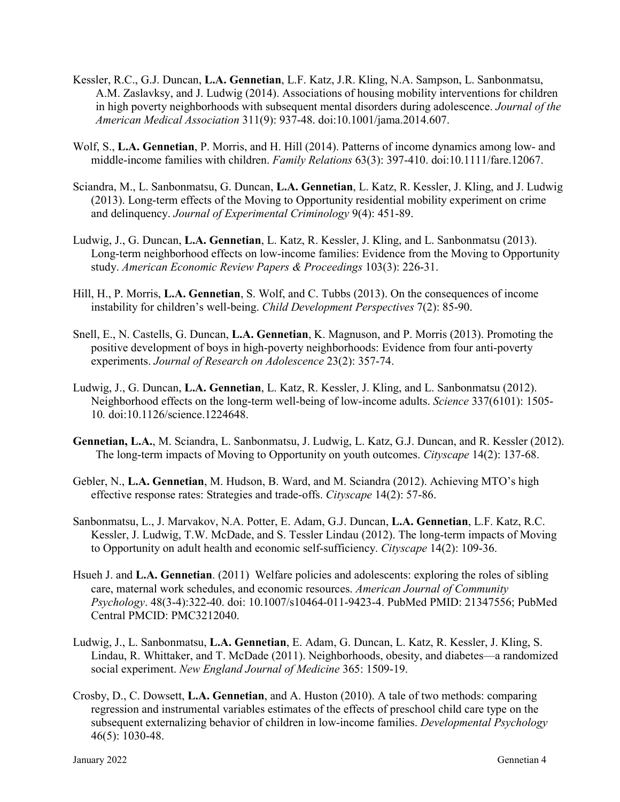- Kessler, R.C., G.J. Duncan, **L.A. Gennetian**, L.F. Katz, J.R. Kling, N.A. Sampson, L. Sanbonmatsu, A.M. Zaslavksy, and J. Ludwig (2014). Associations of housing mobility interventions for children in high poverty neighborhoods with subsequent mental disorders during adolescence. *Journal of the American Medical Association* 311(9): 937-48. doi:10.1001/jama.2014.607.
- Wolf, S., **L.A. Gennetian**, P. Morris, and H. Hill (2014). Patterns of income dynamics among low- and middle‐income families with children. *Family Relations* 63(3): 397-410. doi:10.1111/fare.12067.
- Sciandra, M., L. Sanbonmatsu, G. Duncan, **L.A. Gennetian**, L. Katz, R. Kessler, J. Kling, and J. Ludwig (2013). Long-term effects of the Moving to Opportunity residential mobility experiment on crime and delinquency. *Journal of Experimental Criminology* 9(4): 451-89.
- Ludwig, J., G. Duncan, **L.A. Gennetian**, L. Katz, R. Kessler, J. Kling, and L. Sanbonmatsu (2013). Long-term neighborhood effects on low-income families: Evidence from the Moving to Opportunity study. *American Economic Review Papers & Proceedings* 103(3): 226-31.
- Hill, H., P. Morris, **L.A. Gennetian**, S. Wolf, and C. Tubbs (2013). On the consequences of income instability for children's well-being. *Child Development Perspectives* 7(2): 85-90.
- Snell, E., N. Castells, G. Duncan, **L.A. Gennetian**, K. Magnuson, and P. Morris (2013). Promoting the positive development of boys in high-poverty neighborhoods: Evidence from four anti-poverty experiments. *Journal of Research on Adolescence* 23(2): 357-74.
- Ludwig, J., G. Duncan, **L.A. Gennetian**, L. Katz, R. Kessler, J. Kling, and L. Sanbonmatsu (2012). Neighborhood effects on the long-term well-being of low-income adults. *Science* 337(6101): 1505- 10*.* doi:10.1126/science.1224648.
- **Gennetian, L.A.**, M. Sciandra, L. Sanbonmatsu, J. Ludwig, L. Katz, G.J. Duncan, and R. Kessler (2012). The long-term impacts of Moving to Opportunity on youth outcomes. *Cityscape* 14(2): 137-68.
- Gebler, N., **L.A. Gennetian**, M. Hudson, B. Ward, and M. Sciandra (2012). Achieving MTO's high effective response rates: Strategies and trade-offs. *Cityscape* 14(2): 57-86.
- Sanbonmatsu, L., J. Marvakov, N.A. Potter, E. Adam, G.J. Duncan, **L.A. Gennetian**, L.F. Katz, R.C. Kessler, J. Ludwig, T.W. McDade, and S. Tessler Lindau (2012). The long-term impacts of Moving to Opportunity on adult health and economic self-sufficiency. *Cityscape* 14(2): 109-36.
- Hsueh J. and **L.A. Gennetian**. (2011) Welfare policies and adolescents: exploring the roles of sibling care, maternal work schedules, and economic resources. *American Journal of Community Psychology*. 48(3-4):322-40. doi: 10.1007/s10464-011-9423-4. PubMed PMID: 21347556; PubMed Central PMCID: PMC3212040.
- Ludwig, J., L. Sanbonmatsu, **L.A. Gennetian**, E. Adam, G. Duncan, L. Katz, R. Kessler, J. Kling, S. Lindau, R. Whittaker, and T. McDade (2011). Neighborhoods, obesity, and diabetes—a randomized social experiment. *New England Journal of Medicine* 365: 1509-19.
- Crosby, D., C. Dowsett, **L.A. Gennetian**, and A. Huston (2010). A tale of two methods: comparing regression and instrumental variables estimates of the effects of preschool child care type on the subsequent externalizing behavior of children in low-income families. *Developmental Psychology* 46(5): 1030-48.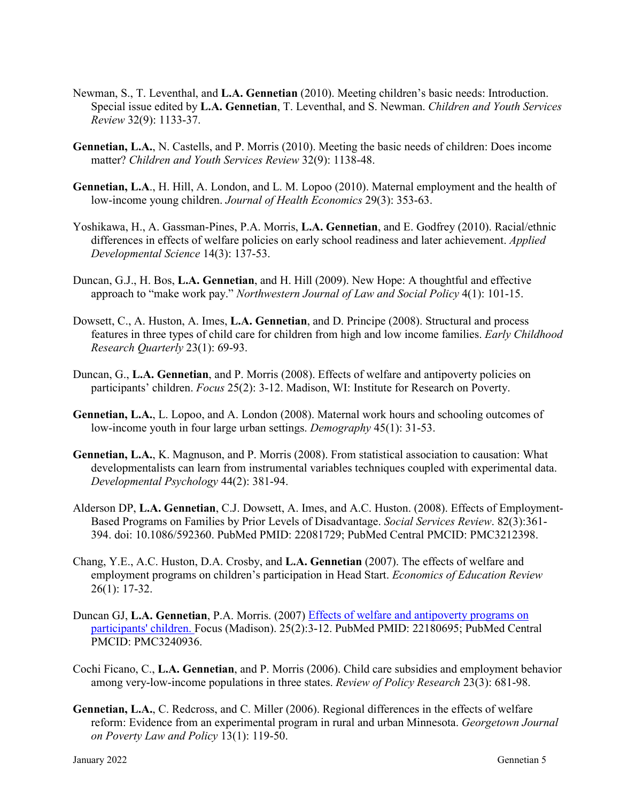- Newman, S., T. Leventhal, and **L.A. Gennetian** (2010). Meeting children's basic needs: Introduction. Special issue edited by **L.A. Gennetian**, T. Leventhal, and S. Newman. *Children and Youth Services Review* 32(9): 1133-37.
- **Gennetian, L.A.**, N. Castells, and P. Morris (2010). Meeting the basic needs of children: Does income matter? *Children and Youth Services Review* 32(9): 1138-48.
- **Gennetian, L.A**., H. Hill, A. London, and L. M. Lopoo (2010). Maternal employment and the health of low-income young children. *Journal of Health Economics* 29(3): 353-63.
- Yoshikawa, H., A. Gassman-Pines, P.A. Morris, **L.A. Gennetian**, and E. Godfrey (2010). Racial/ethnic differences in effects of welfare policies on early school readiness and later achievement. *Applied Developmental Science* 14(3): 137-53.
- Duncan, G.J., H. Bos, **L.A. Gennetian**, and H. Hill (2009). New Hope: A thoughtful and effective approach to "make work pay." *Northwestern Journal of Law and Social Policy* 4(1): 101-15.
- Dowsett, C., A. Huston, A. Imes, **L.A. Gennetian**, and D. Principe (2008). Structural and process features in three types of child care for children from high and low income families. *Early Childhood Research Quarterly* 23(1): 69-93.
- Duncan, G., **L.A. Gennetian**, and P. Morris (2008). Effects of welfare and antipoverty policies on participants' children. *Focus* 25(2): 3-12. Madison, WI: Institute for Research on Poverty.
- **Gennetian, L.A.**, L. Lopoo, and A. London (2008). Maternal work hours and schooling outcomes of low-income youth in four large urban settings. *Demography* 45(1): 31-53.
- **Gennetian, L.A.**, K. Magnuson, and P. Morris (2008). From statistical association to causation: What developmentalists can learn from instrumental variables techniques coupled with experimental data. *Developmental Psychology* 44(2): 381-94.
- Alderson DP, **L.A. Gennetian**, C.J. Dowsett, A. Imes, and A.C. Huston. (2008). Effects of Employment-Based Programs on Families by Prior Levels of Disadvantage. *Social Services Review*. 82(3):361- 394. doi: 10.1086/592360. PubMed PMID: 22081729; PubMed Central PMCID: PMC3212398.
- Chang, Y.E., A.C. Huston, D.A. Crosby, and **L.A. Gennetian** (2007). The effects of welfare and employment programs on children's participation in Head Start. *Economics of Education Review* 26(1): 17-32.
- Duncan GJ, **L.A. Gennetian**, P.A. Morris. (2007) [Effects of welfare and antipoverty programs on](https://www.ncbi.nlm.nih.gov/pubmed/22180695/)  [participants' children. F](https://www.ncbi.nlm.nih.gov/pubmed/22180695/)ocus (Madison). 25(2):3-12. PubMed PMID: 22180695; PubMed Central PMCID: PMC3240936.
- Cochi Ficano, C., **L.A. Gennetian**, and P. Morris (2006). Child care subsidies and employment behavior among very‐low‐income populations in three states. *Review of Policy Research* 23(3): 681-98.
- **Gennetian, L.A.**, C. Redcross, and C. Miller (2006). Regional differences in the effects of welfare reform: Evidence from an experimental program in rural and urban Minnesota. *Georgetown Journal on Poverty Law and Policy* 13(1): 119-50.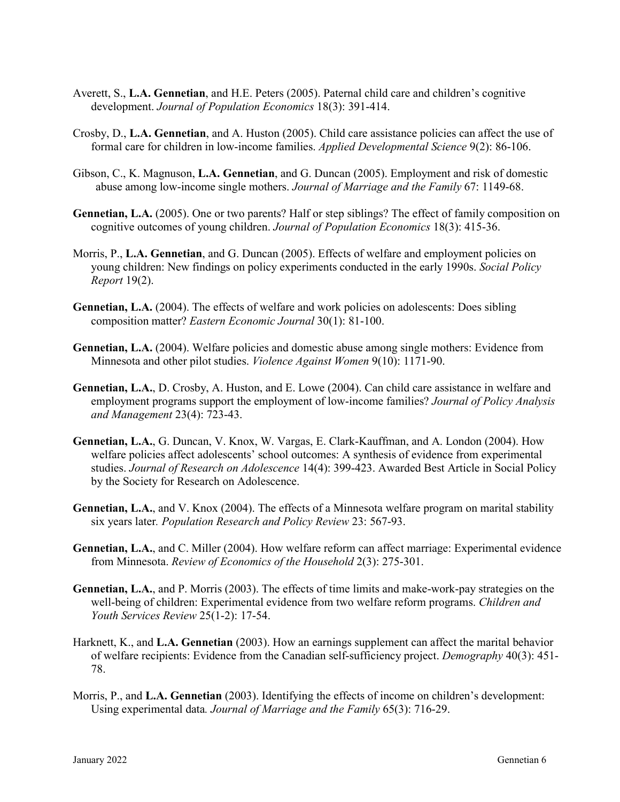- Averett, S., **L.A. Gennetian**, and H.E. Peters (2005). Paternal child care and children's cognitive development. *Journal of Population Economics* 18(3): 391-414.
- Crosby, D., **L.A. Gennetian**, and A. Huston (2005). Child care assistance policies can affect the use of formal care for children in low-income families. *Applied Developmental Science* 9(2): 86-106.
- Gibson, C., K. Magnuson, **L.A. Gennetian**, and G. Duncan (2005). Employment and risk of domestic abuse among low-income single mothers. *Journal of Marriage and the Family* 67: 1149-68.
- **Gennetian, L.A.** (2005). One or two parents? Half or step siblings? The effect of family composition on cognitive outcomes of young children. *Journal of Population Economics* 18(3): 415-36.
- Morris, P., **L.A. Gennetian**, and G. Duncan (2005). Effects of welfare and employment policies on young children: New findings on policy experiments conducted in the early 1990s. *Social Policy Report* 19(2).
- **Gennetian, L.A.** (2004). The effects of welfare and work policies on adolescents: Does sibling composition matter? *Eastern Economic Journal* 30(1): 81-100.
- **Gennetian, L.A.** (2004). Welfare policies and domestic abuse among single mothers: Evidence from Minnesota and other pilot studies. *Violence Against Women* 9(10): 1171-90.
- **Gennetian, L.A.**, D. Crosby, A. Huston, and E. Lowe (2004). Can child care assistance in welfare and employment programs support the employment of low-income families? *Journal of Policy Analysis and Management* 23(4): 723-43.
- **Gennetian, L.A.**, G. Duncan, V. Knox, W. Vargas, E. Clark-Kauffman, and A. London (2004). How welfare policies affect adolescents' school outcomes: A synthesis of evidence from experimental studies. *Journal of Research on Adolescence* 14(4): 399-423. Awarded Best Article in Social Policy by the Society for Research on Adolescence.
- **Gennetian, L.A.**, and V. Knox (2004). The effects of a Minnesota welfare program on marital stability six years later*. Population Research and Policy Review* 23: 567-93.
- **Gennetian, L.A.**, and C. Miller (2004). How welfare reform can affect marriage: Experimental evidence from Minnesota. *Review of Economics of the Household* 2(3): 275-301.
- **Gennetian, L.A.**, and P. Morris (2003). The effects of time limits and make-work-pay strategies on the well-being of children: Experimental evidence from two welfare reform programs. *Children and Youth Services Review* 25(1-2): 17-54.
- Harknett, K., and **L.A. Gennetian** (2003). How an earnings supplement can affect the marital behavior of welfare recipients: Evidence from the Canadian self-sufficiency project. *Demography* 40(3): 451- 78.
- Morris, P., and **L.A. Gennetian** (2003). Identifying the effects of income on children's development: Using experimental data*. Journal of Marriage and the Family* 65(3): 716-29.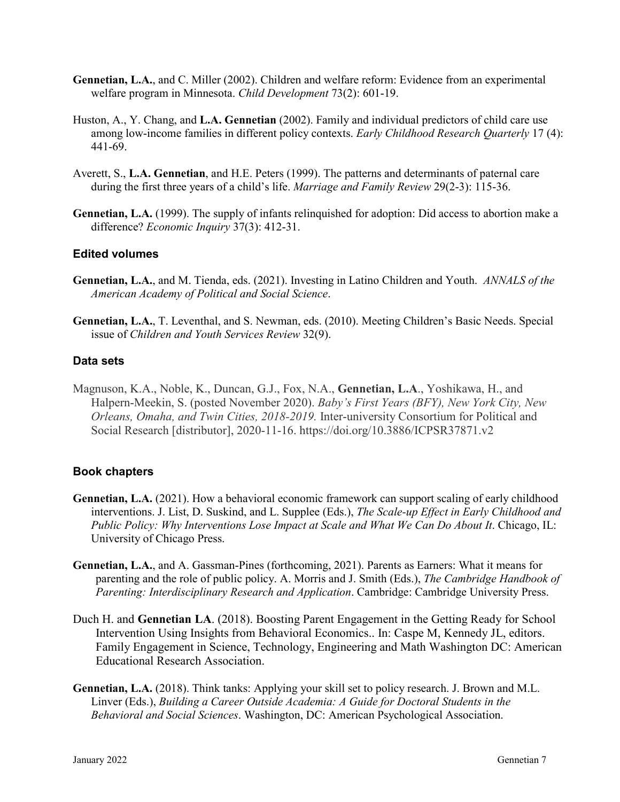- **Gennetian, L.A.**, and C. Miller (2002). Children and welfare reform: Evidence from an experimental welfare program in Minnesota. *Child Development* 73(2): 601-19.
- Huston, A., Y. Chang, and **L.A. Gennetian** (2002). Family and individual predictors of child care use among low-income families in different policy contexts. *Early Childhood Research Quarterly* 17 (4): 441-69.
- Averett, S., **L.A. Gennetian**, and H.E. Peters (1999). The patterns and determinants of paternal care during the first three years of a child's life. *Marriage and Family Review* 29(2-3): 115-36.
- **Gennetian, L.A.** (1999). The supply of infants relinquished for adoption: Did access to abortion make a difference? *Economic Inquiry* 37(3): 412-31.

## **Edited volumes**

- **Gennetian, L.A.**, and M. Tienda, eds. (2021). Investing in Latino Children and Youth. *ANNALS of the American Academy of Political and Social Science*.
- **Gennetian, L.A.**, T. Leventhal, and S. Newman, eds. (2010). Meeting Children's Basic Needs. Special issue of *Children and Youth Services Review* 32(9).

## **Data sets**

Magnuson, K.A., Noble, K., Duncan, G.J., Fox, N.A., **Gennetian, L.A**., Yoshikawa, H., and Halpern-Meekin, S. (posted November 2020). *Baby's First Years (BFY), New York City, New Orleans, Omaha, and Twin Cities, 2018-2019.* Inter-university Consortium for Political and Social Research [distributor], 2020-11-16. https://doi.org/10.3886/ICPSR37871.v2

## **Book chapters**

- **Gennetian, L.A.** (2021). How a behavioral economic framework can support scaling of early childhood interventions. J. List, D. Suskind, and L. Supplee (Eds.), *The Scale-up Effect in Early Childhood and*  Public Policy: Why Interventions Lose Impact at Scale and What We Can Do About It. Chicago, IL: University of Chicago Press.
- **Gennetian, L.A.**, and A. Gassman-Pines (forthcoming, 2021). Parents as Earners: What it means for parenting and the role of public policy. A. Morris and J. Smith (Eds.), *The Cambridge Handbook of Parenting: Interdisciplinary Research and Application*. Cambridge: Cambridge University Press.
- Duch H. and **Gennetian LA**. (2018). Boosting Parent Engagement in the Getting Ready for School Intervention Using Insights from Behavioral Economics.. In: Caspe M, Kennedy JL, editors. Family Engagement in Science, Technology, Engineering and Math Washington DC: American Educational Research Association.
- **Gennetian, L.A.** (2018). Think tanks: Applying your skill set to policy research. J. Brown and M.L. Linver (Eds.), *Building a Career Outside Academia: A Guide for Doctoral Students in the Behavioral and Social Sciences*. Washington, DC: American Psychological Association.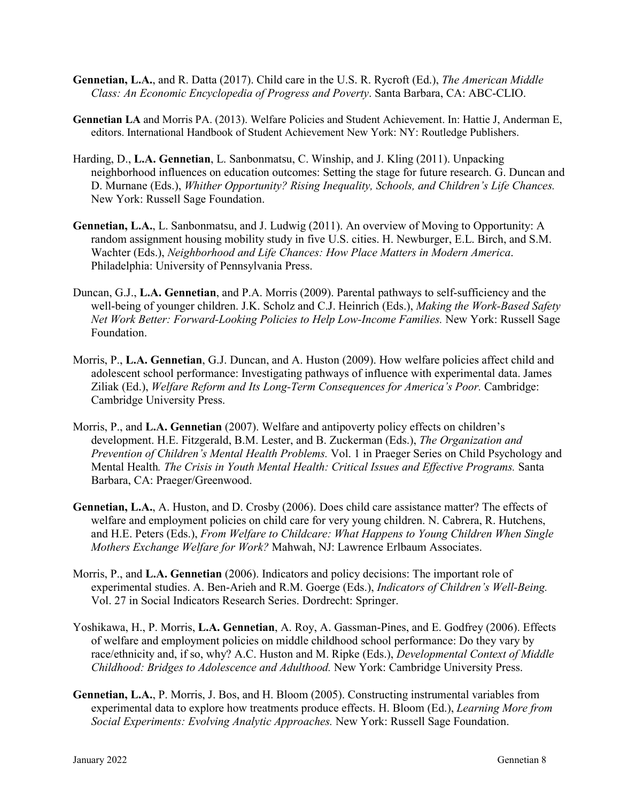- **Gennetian, L.A.**, and R. Datta (2017). Child care in the U.S. R. Rycroft (Ed.), *The American Middle Class: An Economic Encyclopedia of Progress and Poverty*. Santa Barbara, CA: ABC-CLIO.
- **Gennetian LA** and Morris PA. (2013). Welfare Policies and Student Achievement. In: Hattie J, Anderman E, editors. International Handbook of Student Achievement New York: NY: Routledge Publishers.
- Harding, D., **L.A. Gennetian**, L. Sanbonmatsu, C. Winship, and J. Kling (2011). Unpacking neighborhood influences on education outcomes: Setting the stage for future research. G. Duncan and D. Murnane (Eds.), *Whither Opportunity? Rising Inequality, Schools, and Children's Life Chances.* New York: Russell Sage Foundation.
- **Gennetian, L.A.**, L. Sanbonmatsu, and J. Ludwig (2011). An overview of Moving to Opportunity: A random assignment housing mobility study in five U.S. cities. H. Newburger, E.L. Birch, and S.M. Wachter (Eds.), *Neighborhood and Life Chances: How Place Matters in Modern America*. Philadelphia: University of Pennsylvania Press.
- Duncan, G.J., **L.A. Gennetian**, and P.A. Morris (2009). Parental pathways to self-sufficiency and the well-being of younger children. J.K. Scholz and C.J. Heinrich (Eds.), *Making the Work-Based Safety Net Work Better: Forward-Looking Policies to Help Low-Income Families.* New York: Russell Sage Foundation.
- Morris, P., **L.A. Gennetian**, G.J. Duncan, and A. Huston (2009). How welfare policies affect child and adolescent school performance: Investigating pathways of influence with experimental data. James Ziliak (Ed.), *Welfare Reform and Its Long-Term Consequences for America's Poor.* Cambridge: Cambridge University Press.
- Morris, P., and **L.A. Gennetian** (2007). Welfare and antipoverty policy effects on children's development. H.E. Fitzgerald, B.M. Lester, and B. Zuckerman (Eds.), *The Organization and Prevention of Children's Mental Health Problems.* Vol. 1 in Praeger Series on Child Psychology and Mental Health*. The Crisis in Youth Mental Health: Critical Issues and Effective Programs.* Santa Barbara, CA: Praeger/Greenwood.
- **Gennetian, L.A.**, A. Huston, and D. Crosby (2006). Does child care assistance matter? The effects of welfare and employment policies on child care for very young children. N. Cabrera, R. Hutchens, and H.E. Peters (Eds.), *From Welfare to Childcare: What Happens to Young Children When Single Mothers Exchange Welfare for Work?* Mahwah, NJ: Lawrence Erlbaum Associates.
- Morris, P., and **L.A. Gennetian** (2006). Indicators and policy decisions: The important role of experimental studies. A. Ben-Arieh and R.M. Goerge (Eds.), *Indicators of Children's Well-Being.* Vol. 27 in Social Indicators Research Series. Dordrecht: Springer.
- Yoshikawa, H., P. Morris, **L.A. Gennetian**, A. Roy, A. Gassman-Pines, and E. Godfrey (2006). Effects of welfare and employment policies on middle childhood school performance: Do they vary by race/ethnicity and, if so, why? A.C. Huston and M. Ripke (Eds.), *Developmental Context of Middle Childhood: Bridges to Adolescence and Adulthood.* New York: Cambridge University Press.
- **Gennetian, L.A.**, P. Morris, J. Bos, and H. Bloom (2005). Constructing instrumental variables from experimental data to explore how treatments produce effects. H. Bloom (Ed.), *Learning More from Social Experiments: Evolving Analytic Approaches.* New York: Russell Sage Foundation.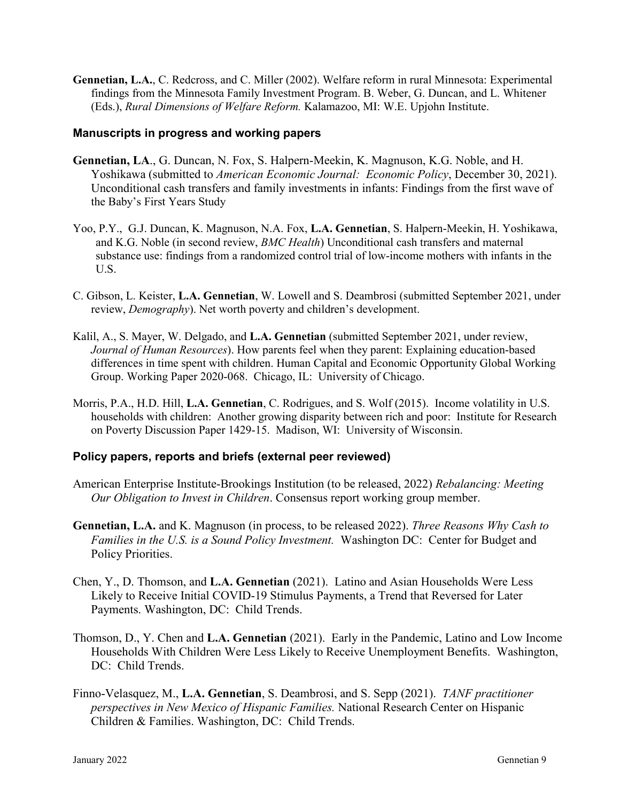**Gennetian, L.A.**, C. Redcross, and C. Miller (2002). Welfare reform in rural Minnesota: Experimental findings from the Minnesota Family Investment Program. B. Weber, G. Duncan, and L. Whitener (Eds.), *Rural Dimensions of Welfare Reform.* Kalamazoo, MI: W.E. Upjohn Institute.

#### **Manuscripts in progress and working papers**

- **Gennetian, LA**., G. Duncan, N. Fox, S. Halpern-Meekin, K. Magnuson, K.G. Noble, and H. Yoshikawa (submitted to *American Economic Journal: Economic Policy*, December 30, 2021). Unconditional cash transfers and family investments in infants: Findings from the first wave of the Baby's First Years Study
- Yoo, P.Y., G.J. Duncan, K. Magnuson, N.A. Fox, **L.A. Gennetian**, S. Halpern-Meekin, H. Yoshikawa, and K.G. Noble (in second review, *BMC Health*) Unconditional cash transfers and maternal substance use: findings from a randomized control trial of low-income mothers with infants in the U.S.
- C. Gibson, L. Keister, **L.A. Gennetian**, W. Lowell and S. Deambrosi (submitted September 2021, under review, *Demography*). Net worth poverty and children's development.
- Kalil, A., S. Mayer, W. Delgado, and **L.A. Gennetian** (submitted September 2021, under review, *Journal of Human Resources*). How parents feel when they parent: Explaining education-based differences in time spent with children. Human Capital and Economic Opportunity Global Working Group. Working Paper 2020-068. Chicago, IL: University of Chicago.
- Morris, P.A., H.D. Hill, **L.A. Gennetian**, C. Rodrigues, and S. Wolf (2015). Income volatility in U.S. households with children: Another growing disparity between rich and poor: Institute for Research on Poverty Discussion Paper 1429-15. Madison, WI: University of Wisconsin.

#### **Policy papers, reports and briefs (external peer reviewed)**

- American Enterprise Institute-Brookings Institution (to be released, 2022) *Rebalancing: Meeting Our Obligation to Invest in Children*. Consensus report working group member.
- **Gennetian, L.A.** and K. Magnuson (in process, to be released 2022). *Three Reasons Why Cash to Families in the U.S. is a Sound Policy Investment.* Washington DC: Center for Budget and Policy Priorities.
- Chen, Y., D. Thomson, and **L.A. Gennetian** (2021). Latino and Asian Households Were Less Likely to Receive Initial COVID-19 Stimulus Payments, a Trend that Reversed for Later Payments. Washington, DC: Child Trends.
- Thomson, D., Y. Chen and **L.A. Gennetian** (2021). Early in the Pandemic, Latino and Low Income Households With Children Were Less Likely to Receive Unemployment Benefits. Washington, DC: Child Trends.
- Finno-Velasquez, M., **L.A. Gennetian**, S. Deambrosi, and S. Sepp (2021). *TANF practitioner perspectives in New Mexico of Hispanic Families.* National Research Center on Hispanic Children & Families. Washington, DC: Child Trends.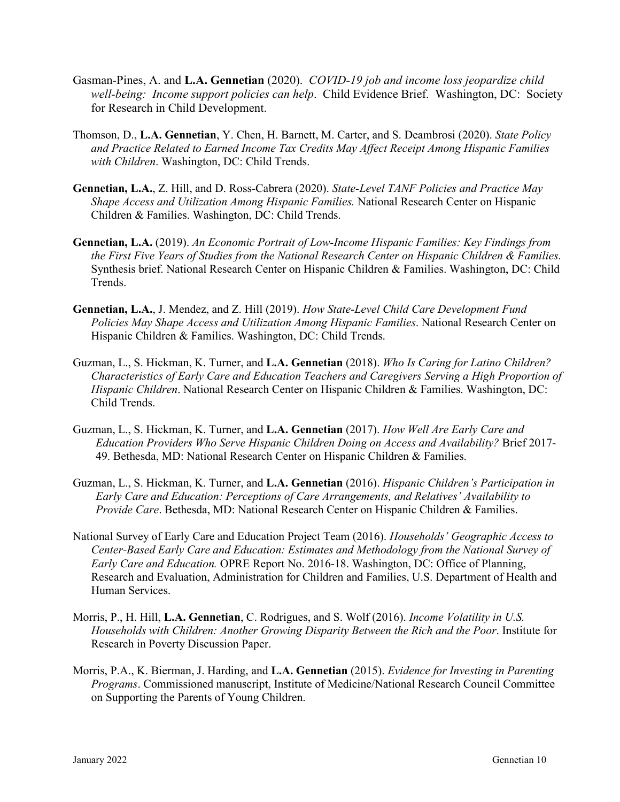- Gasman-Pines, A. and **L.A. Gennetian** (2020). *COVID-19 job and income loss jeopardize child well-being: Income support policies can help*. Child Evidence Brief. Washington, DC: Society for Research in Child Development.
- Thomson, D., **L.A. Gennetian**, Y. Chen, H. Barnett, M. Carter, and S. Deambrosi (2020). *State Policy and Practice Related to Earned Income Tax Credits May Affect Receipt Among Hispanic Families with Children*. Washington, DC: Child Trends.
- **Gennetian, L.A.**, Z. Hill, and D. Ross-Cabrera (2020). *State-Level TANF Policies and Practice May Shape Access and Utilization Among Hispanic Families.* National Research Center on Hispanic Children & Families. Washington, DC: Child Trends.
- **Gennetian, L.A.** (2019). *An Economic Portrait of Low-Income Hispanic Families: Key Findings from the First Five Years of Studies from the National Research Center on Hispanic Children & Families.* Synthesis brief. National Research Center on Hispanic Children & Families. Washington, DC: Child Trends.
- **Gennetian, L.A.**, J. Mendez, and Z. Hill (2019). *How State-Level Child Care Development Fund Policies May Shape Access and Utilization Among Hispanic Families*. National Research Center on Hispanic Children & Families. Washington, DC: Child Trends.
- Guzman, L., S. Hickman, K. Turner, and **L.A. Gennetian** (2018). *Who Is Caring for Latino Children? Characteristics of Early Care and Education Teachers and Caregivers Serving a High Proportion of Hispanic Children*. National Research Center on Hispanic Children & Families. Washington, DC: Child Trends.
- Guzman, L., S. Hickman, K. Turner, and **L.A. Gennetian** (2017). *How Well Are Early Care and Education Providers Who Serve Hispanic Children Doing on Access and Availability?* Brief 2017- 49. Bethesda, MD: National Research Center on Hispanic Children & Families.
- Guzman, L., S. Hickman, K. Turner, and **L.A. Gennetian** (2016). *Hispanic Children's Participation in Early Care and Education: Perceptions of Care Arrangements, and Relatives' Availability to Provide Care*. Bethesda, MD: National Research Center on Hispanic Children & Families.
- National Survey of Early Care and Education Project Team (2016). *Households' Geographic Access to Center-Based Early Care and Education: Estimates and Methodology from the National Survey of Early Care and Education.* OPRE Report No. 2016-18. Washington, DC: Office of Planning, Research and Evaluation, Administration for Children and Families, U.S. Department of Health and Human Services.
- Morris, P., H. Hill, **L.A. Gennetian**, C. Rodrigues, and S. Wolf (2016). *Income Volatility in U.S. Households with Children: Another Growing Disparity Between the Rich and the Poor*. Institute for Research in Poverty Discussion Paper.
- Morris, P.A., K. Bierman, J. Harding, and **L.A. Gennetian** (2015). *Evidence for Investing in Parenting Programs*. Commissioned manuscript, Institute of Medicine/National Research Council Committee on Supporting the Parents of Young Children.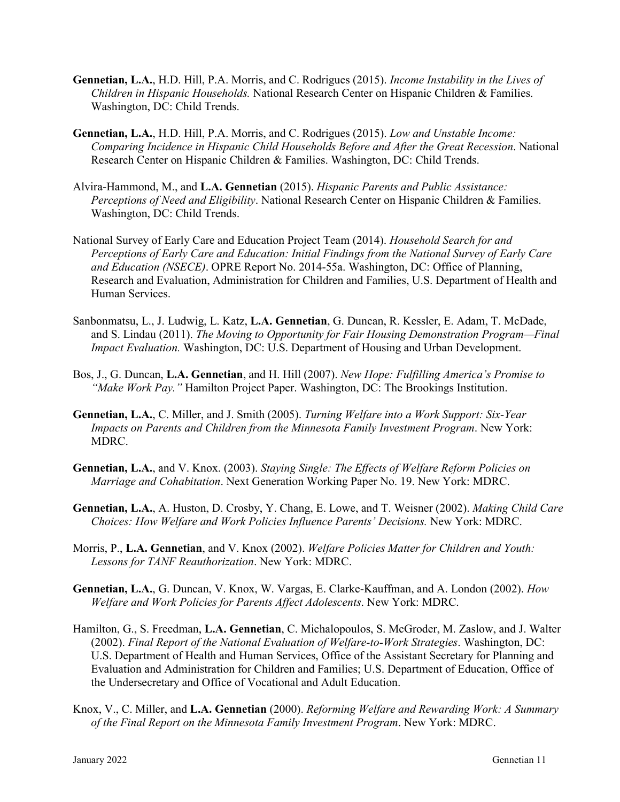- **Gennetian, L.A.**, H.D. Hill, P.A. Morris, and C. Rodrigues (2015). *Income Instability in the Lives of Children in Hispanic Households.* National Research Center on Hispanic Children & Families. Washington, DC: Child Trends.
- **Gennetian, L.A.**, H.D. Hill, P.A. Morris, and C. Rodrigues (2015). *Low and Unstable Income: Comparing Incidence in Hispanic Child Households Before and After the Great Recession*. National Research Center on Hispanic Children & Families. Washington, DC: Child Trends.
- Alvira-Hammond, M., and **L.A. Gennetian** (2015). *Hispanic Parents and Public Assistance: Perceptions of Need and Eligibility*. National Research Center on Hispanic Children & Families. Washington, DC: Child Trends.
- National Survey of Early Care and Education Project Team (2014). *Household Search for and Perceptions of Early Care and Education: Initial Findings from the National Survey of Early Care and Education (NSECE)*. OPRE Report No. 2014-55a. Washington, DC: Office of Planning, Research and Evaluation, Administration for Children and Families, U.S. Department of Health and Human Services.
- Sanbonmatsu, L., J. Ludwig, L. Katz, **L.A. Gennetian**, G. Duncan, R. Kessler, E. Adam, T. McDade, and S. Lindau (2011). *The Moving to Opportunity for Fair Housing Demonstration Program—Final Impact Evaluation.* Washington, DC: U.S. Department of Housing and Urban Development.
- Bos, J., G. Duncan, **L.A. Gennetian**, and H. Hill (2007). *New Hope: Fulfilling America's Promise to "Make Work Pay."* Hamilton Project Paper. Washington, DC: The Brookings Institution.
- **Gennetian, L.A.**, C. Miller, and J. Smith (2005). *Turning Welfare into a Work Support: Six-Year Impacts on Parents and Children from the Minnesota Family Investment Program*. New York: MDRC.
- **Gennetian, L.A.**, and V. Knox. (2003). *Staying Single: The Effects of Welfare Reform Policies on Marriage and Cohabitation*. Next Generation Working Paper No. 19. New York: MDRC.
- **Gennetian, L.A.**, A. Huston, D. Crosby, Y. Chang, E. Lowe, and T. Weisner (2002). *Making Child Care Choices: How Welfare and Work Policies Influence Parents' Decisions.* New York: MDRC.
- Morris, P., **L.A. Gennetian**, and V. Knox (2002). *Welfare Policies Matter for Children and Youth: Lessons for TANF Reauthorization*. New York: MDRC.
- **Gennetian, L.A.**, G. Duncan, V. Knox, W. Vargas, E. Clarke-Kauffman, and A. London (2002). *How Welfare and Work Policies for Parents Affect Adolescents*. New York: MDRC.
- Hamilton, G., S. Freedman, **L.A. Gennetian**, C. Michalopoulos, S. McGroder, M. Zaslow, and J. Walter (2002). *Final Report of the National Evaluation of Welfare-to-Work Strategies*. Washington, DC: U.S. Department of Health and Human Services, Office of the Assistant Secretary for Planning and Evaluation and Administration for Children and Families; U.S. Department of Education, Office of the Undersecretary and Office of Vocational and Adult Education.
- Knox, V., C. Miller, and **L.A. Gennetian** (2000). *Reforming Welfare and Rewarding Work: A Summary of the Final Report on the Minnesota Family Investment Program*. New York: MDRC.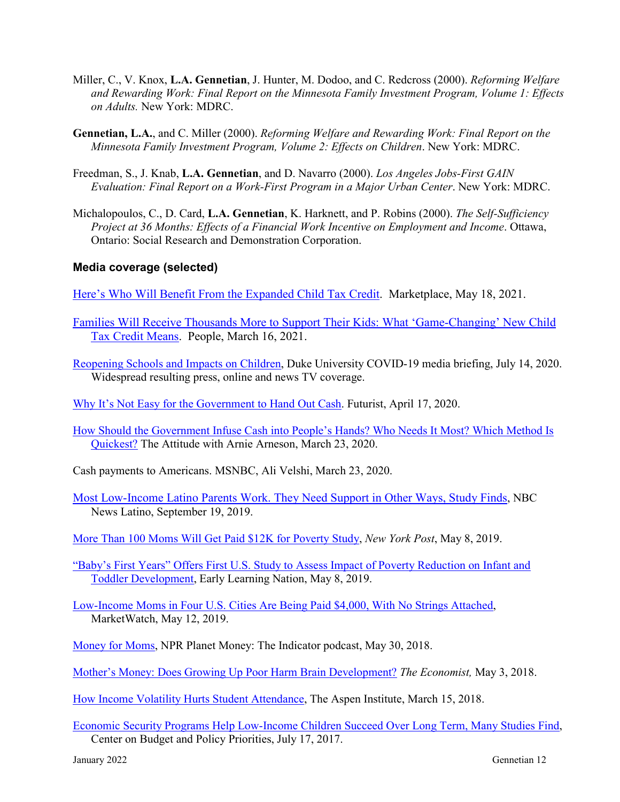- Miller, C., V. Knox, **L.A. Gennetian**, J. Hunter, M. Dodoo, and C. Redcross (2000). *Reforming Welfare and Rewarding Work: Final Report on the Minnesota Family Investment Program, Volume 1: Effects on Adults.* New York: MDRC.
- **Gennetian, L.A.**, and C. Miller (2000). *Reforming Welfare and Rewarding Work: Final Report on the Minnesota Family Investment Program, Volume 2: Effects on Children*. New York: MDRC.
- Freedman, S., J. Knab, **L.A. Gennetian**, and D. Navarro (2000). *Los Angeles Jobs-First GAIN Evaluation: Final Report on a Work-First Program in a Major Urban Center*. New York: MDRC.
- Michalopoulos, C., D. Card, **L.A. Gennetian**, K. Harknett, and P. Robins (2000). *The Self-Sufficiency Project at 36 Months: Effects of a Financial Work Incentive on Employment and Income*. Ottawa, Ontario: Social Research and Demonstration Corporation.

## **Media coverage (selected)**

[Here's Who Will Benefit From the Expanded Child Tax Credit.](https://www.marketplace.org/2021/05/18/heres-who-will-benefit-from-the-expanded-child-tax-credit/) Marketplace, May 18, 2021.

- [Families Will Receive Thousands More to Support Their Kids: What 'Game-Changing' New Child](https://people.com/politics/what-the-expanded-child-tax-credit-means-for-families/)  [Tax Credit Means.](https://people.com/politics/what-the-expanded-child-tax-credit-means-for-families/) People, March 16, 2021.
- [Reopening Schools and Impacts on Children,](https://today.duke.edu/2020/07/local-factors-should-drive-school-reopening-decisions-health-experts-say?utm_source=twitter&utm_medium=Duke+University) Duke University COVID-19 media briefing, July 14, 2020. Widespread resulting press, online and news TV coverage.
- [Why It's Not Easy for the Government to Hand Out Cash.](https://www.futurity.org/cash-transfers-government-stimulus-covid-19-2340672/) Futurist, April 17, 2020.
- [How Should the Government Infuse Cash into People's Hands? Who Needs It Most? Which Method Is](https://www.wnhnfm.org/the-attitude-with-arnie-arnesen-march-23-2020/)  [Quickest?](https://www.wnhnfm.org/the-attitude-with-arnie-arnesen-march-23-2020/) The Attitude with Arnie Arneson, March 23, 2020.
- Cash payments to Americans. MSNBC, Ali Velshi, March 23, 2020.
- [Most Low-Income Latino Parents Work. They Need Support in Other Ways, Study Finds,](https://www.nbcnews.com/news/latino/most-low-income-latino-parents-work-they-need-support-other-n1056421) NBC News Latino, September 19, 2019.
- [More Than 100 Moms Will Get Paid \\$12K for Poverty Study,](https://nypost.com/2019/05/08/more-than-100-moms-will-get-paid-12k-for-poverty-study/) *New York Post*, May 8, 2019.
- ["Baby's First Years" Offers First U.S. Study to Assess Impact of Poverty Reduction on Infant and](http://earlylearningnation.com/2019/05/babys-first-years-offers-first-u-s-study-to-assess-impact-of-poverty-reduction-on-infant-and-toddler-development/)  [Toddler Development,](http://earlylearningnation.com/2019/05/babys-first-years-offers-first-u-s-study-to-assess-impact-of-poverty-reduction-on-infant-and-toddler-development/) Early Learning Nation, May 8, 2019.
- [Low-Income Moms in Four U.S. Cities Are Being Paid \\$4,000, With No Strings Attached,](https://www.marketwatch.com/story/why-moms-in-four-us-cities-are-being-paid-4000-a-year-with-no-strings-attached-2019-05-07?mod=personal-finance) MarketWatch, May 12, 2019.
- [Money for Moms,](https://www.npr.org/sections/money/2018/05/30/615599129/money-for-moms) NPR Planet Money: The Indicator podcast, May 30, 2018.
- [Mother's Money: Does Growing Up Poor Harm Brain Development?](https://www.economist.com/united-states/2018/05/03/does-growing-up-poor-harm-brain-development) *The Economist,* May 3, 2018.
- [How Income Volatility Hurts Student Attendance,](http://www.aspenepic.org/epic-issues/income-volatility/income-volatility-hurts-student-attendance/) The Aspen Institute, March 15, 2018.
- [Economic Security Programs Help Low-Income Children Succeed Over Long Term, Many Studies Find,](https://www.cbpp.org/research/poverty-and-inequality/economic-security-programs-help-low-income-children-succeed-over) Center on Budget and Policy Priorities, July 17, 2017.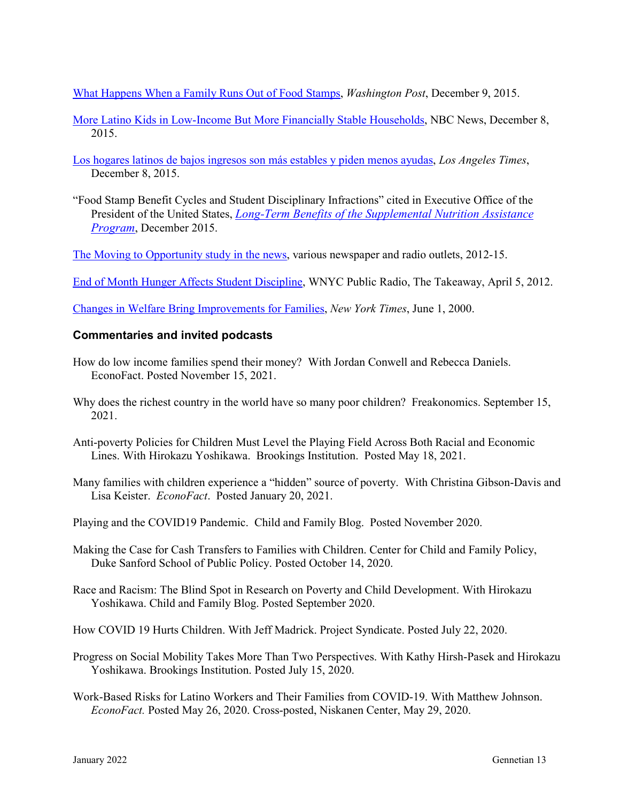[What Happens When a Family Runs Out of Food Stamps,](https://www.washingtonpost.com/news/wonk/wp/2015/12/09/what-happens-when-a-family-runs-out-of-food-stamps/?utm_term=.a29b2674f67a) *Washington Post*, December 9, 2015.

- [More Latino Kids in Low-Income But More Financially Stable Households,](https://www.nbcnews.com/news/latino/more-latino-kids-financially-stable-low-income-households-n476146) NBC News, December 8, 2015.
- [Los hogares latinos de bajos ingresos son más estables y piden menos ayudas,](https://www.latimes.com/sdhoy-los-hogares-latinos-de-bajos-ingresos-son-mas-2015dec08-story.html) *Los Angeles Times*, December 8, 2015.
- "Food Stamp Benefit Cycles and Student Disciplinary Infractions" cited in Executive Office of the President of the United States, *[Long-Term Benefits of the Supplemental Nutrition Assistance](https://obamawhitehouse.archives.gov/sites/whitehouse.gov/files/documents/SNAP_report_final_nonembargo.pdf)  [Program](https://obamawhitehouse.archives.gov/sites/whitehouse.gov/files/documents/SNAP_report_final_nonembargo.pdf)*, December 2015.

[The Moving to Opportunity study in the news,](http://www.nber.org/mtopublic/news.htm) various newspaper and radio outlets, 2012-15.

[End of Month Hunger Affects Student Discipline,](https://www.wnyc.org/story/197669-end-month-hunger-affects-student-discipline/) WNYC Public Radio, The Takeaway, April 5, 2012.

[Changes in Welfare Bring Improvements for Families,](https://www.nytimes.com/2000/06/01/us/changes-in-welfare-bring-improvements-for-families.html?searchResultPosition=2) *New York Times*, June 1, 2000.

#### **Commentaries and invited podcasts**

- How do low income families spend their money? With Jordan Conwell and Rebecca Daniels. EconoFact. Posted November 15, 2021.
- Why does the richest country in the world have so many poor children? Freakonomics. September 15, 2021.
- Anti-poverty Policies for Children Must Level the Playing Field Across Both Racial and Economic Lines. With Hirokazu Yoshikawa. Brookings Institution. Posted May 18, 2021.
- Many families with children experience a "hidden" source of poverty. With Christina Gibson-Davis and Lisa Keister. *EconoFact*. Posted January 20, 2021.
- Playing and the COVID19 Pandemic. Child and Family Blog. Posted November 2020.
- Making the Case for Cash Transfers to Families with Children. Center for Child and Family Policy, Duke Sanford School of Public Policy. Posted October 14, 2020.
- Race and Racism: The Blind Spot in Research on Poverty and Child Development. With Hirokazu Yoshikawa. Child and Family Blog. Posted September 2020.
- How COVID 19 Hurts Children. With Jeff Madrick. Project Syndicate. Posted July 22, 2020.
- Progress on Social Mobility Takes More Than Two Perspectives. With Kathy Hirsh-Pasek and Hirokazu Yoshikawa. Brookings Institution. Posted July 15, 2020.
- Work-Based Risks for Latino Workers and Their Families from COVID-19. With Matthew Johnson. *EconoFact.* Posted May 26, 2020. Cross-posted, Niskanen Center, May 29, 2020.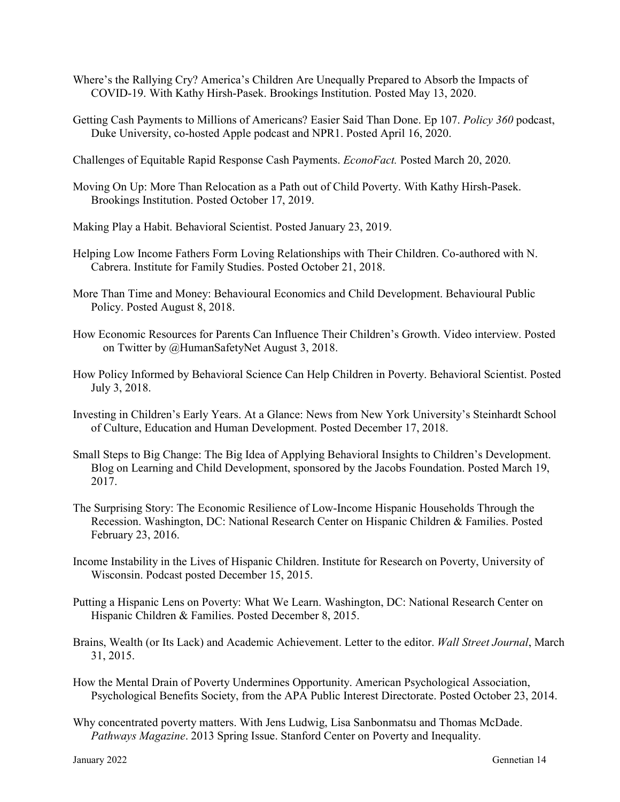- Where's the Rallying Cry? America's Children Are Unequally Prepared to Absorb the Impacts of COVID-19. With Kathy Hirsh-Pasek. Brookings Institution. Posted May 13, 2020.
- Getting Cash Payments to Millions of Americans? Easier Said Than Done. Ep 107. *Policy 360* podcast, Duke University, co-hosted Apple podcast and NPR1. Posted April 16, 2020.
- Challenges of Equitable Rapid Response Cash Payments. *EconoFact.* Posted March 20, 2020.
- Moving On Up: More Than Relocation as a Path out of Child Poverty. With Kathy Hirsh-Pasek. Brookings Institution. Posted October 17, 2019.
- Making Play a Habit. Behavioral Scientist. Posted January 23, 2019.
- Helping Low Income Fathers Form Loving Relationships with Their Children. Co-authored with N. Cabrera. Institute for Family Studies. Posted October 21, 2018.
- More Than Time and Money: Behavioural Economics and Child Development. Behavioural Public Policy. Posted August 8, 2018.
- How Economic Resources for Parents Can Influence Their Children's Growth. Video interview. Posted on Twitter by @HumanSafetyNet August 3, 2018.
- How Policy Informed by Behavioral Science Can Help Children in Poverty. Behavioral Scientist. Posted July 3, 2018.
- Investing in Children's Early Years. At a Glance: News from New York University's Steinhardt School of Culture, Education and Human Development. Posted December 17, 2018.
- Small Steps to Big Change: The Big Idea of Applying Behavioral Insights to Children's Development. Blog on Learning and Child Development, sponsored by the Jacobs Foundation. Posted March 19, 2017.
- The Surprising Story: The Economic Resilience of Low-Income Hispanic Households Through the Recession. Washington, DC: National Research Center on Hispanic Children & Families. Posted February 23, 2016.
- Income Instability in the Lives of Hispanic Children. Institute for Research on Poverty, University of Wisconsin. Podcast posted December 15, 2015.
- Putting a Hispanic Lens on Poverty: What We Learn. Washington, DC: National Research Center on Hispanic Children & Families. Posted December 8, 2015.
- Brains, Wealth (or Its Lack) and Academic Achievement. Letter to the editor. *Wall Street Journal*, March 31, 2015.
- How the Mental Drain of Poverty Undermines Opportunity. American Psychological Association, Psychological Benefits Society, from the APA Public Interest Directorate. Posted October 23, 2014.
- Why concentrated poverty matters. With Jens Ludwig, Lisa Sanbonmatsu and Thomas McDade. *Pathways Magazine*. 2013 Spring Issue. Stanford Center on Poverty and Inequality.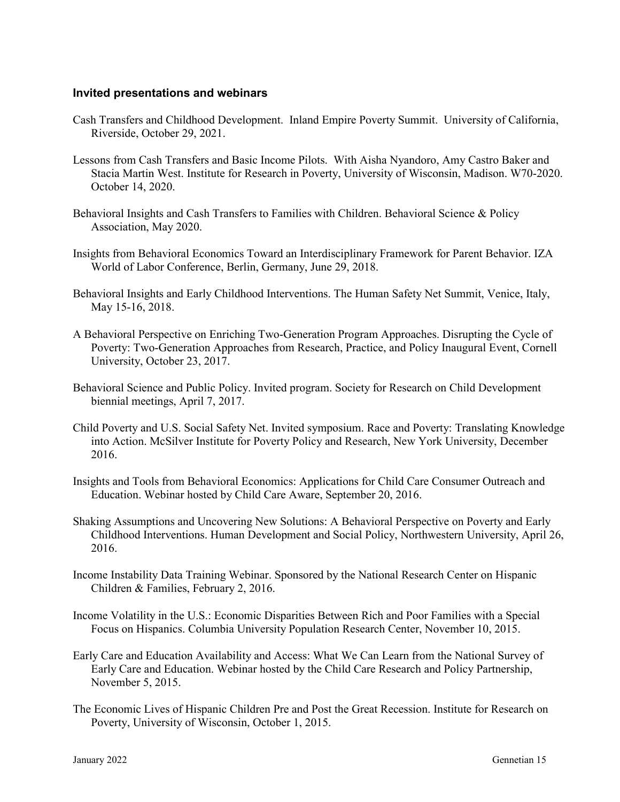#### **Invited presentations and webinars**

- Cash Transfers and Childhood Development. Inland Empire Poverty Summit. University of California, Riverside, October 29, 2021.
- Lessons from Cash Transfers and Basic Income Pilots. With Aisha Nyandoro, Amy Castro Baker and Stacia Martin West. Institute for Research in Poverty, University of Wisconsin, Madison. W70-2020. October 14, 2020.
- Behavioral Insights and Cash Transfers to Families with Children. Behavioral Science & Policy Association, May 2020.
- Insights from Behavioral Economics Toward an Interdisciplinary Framework for Parent Behavior. IZA World of Labor Conference, Berlin, Germany, June 29, 2018.
- Behavioral Insights and Early Childhood Interventions. The Human Safety Net Summit, Venice, Italy, May 15-16, 2018.
- A Behavioral Perspective on Enriching Two-Generation Program Approaches. Disrupting the Cycle of Poverty: Two-Generation Approaches from Research, Practice, and Policy Inaugural Event, Cornell University, October 23, 2017.
- Behavioral Science and Public Policy. Invited program. Society for Research on Child Development biennial meetings, April 7, 2017.
- Child Poverty and U.S. Social Safety Net. Invited symposium. Race and Poverty: Translating Knowledge into Action. McSilver Institute for Poverty Policy and Research, New York University, December 2016.
- Insights and Tools from Behavioral Economics: Applications for Child Care Consumer Outreach and Education. Webinar hosted by Child Care Aware, September 20, 2016.
- Shaking Assumptions and Uncovering New Solutions: A Behavioral Perspective on Poverty and Early Childhood Interventions. Human Development and Social Policy, Northwestern University, April 26, 2016.
- Income Instability Data Training Webinar. Sponsored by the National Research Center on Hispanic Children & Families, February 2, 2016.
- Income Volatility in the U.S.: Economic Disparities Between Rich and Poor Families with a Special Focus on Hispanics. Columbia University Population Research Center, November 10, 2015.
- Early Care and Education Availability and Access: What We Can Learn from the National Survey of Early Care and Education. Webinar hosted by the Child Care Research and Policy Partnership, November 5, 2015.
- The Economic Lives of Hispanic Children Pre and Post the Great Recession. Institute for Research on Poverty, University of Wisconsin, October 1, 2015.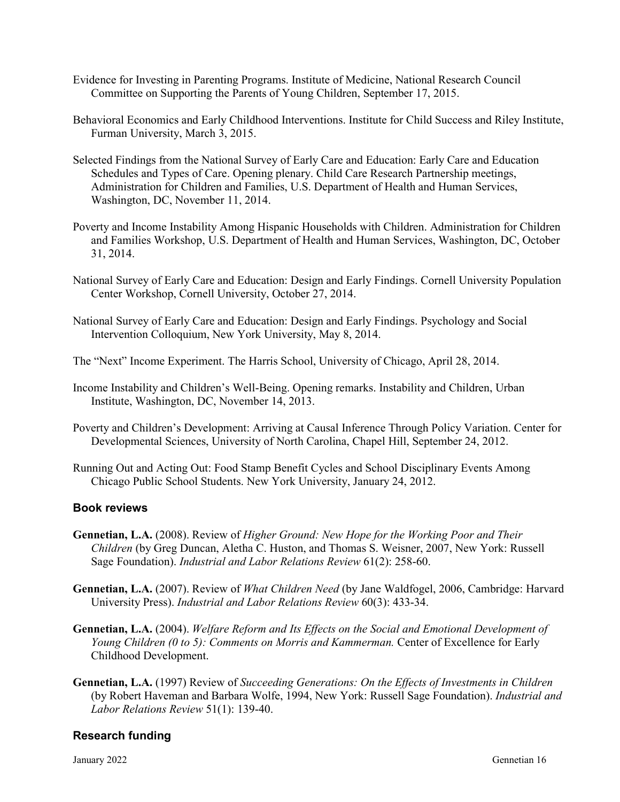- Evidence for Investing in Parenting Programs. Institute of Medicine, National Research Council Committee on Supporting the Parents of Young Children, September 17, 2015.
- Behavioral Economics and Early Childhood Interventions. Institute for Child Success and Riley Institute, Furman University, March 3, 2015.
- Selected Findings from the National Survey of Early Care and Education: Early Care and Education Schedules and Types of Care. Opening plenary. Child Care Research Partnership meetings, Administration for Children and Families, U.S. Department of Health and Human Services, Washington, DC, November 11, 2014.
- Poverty and Income Instability Among Hispanic Households with Children. Administration for Children and Families Workshop, U.S. Department of Health and Human Services, Washington, DC, October 31, 2014.
- National Survey of Early Care and Education: Design and Early Findings. Cornell University Population Center Workshop, Cornell University, October 27, 2014.
- National Survey of Early Care and Education: Design and Early Findings. Psychology and Social Intervention Colloquium, New York University, May 8, 2014.
- The "Next" Income Experiment. The Harris School, University of Chicago, April 28, 2014.
- Income Instability and Children's Well-Being. Opening remarks. Instability and Children, Urban Institute, Washington, DC, November 14, 2013.
- Poverty and Children's Development: Arriving at Causal Inference Through Policy Variation. Center for Developmental Sciences, University of North Carolina, Chapel Hill, September 24, 2012.
- Running Out and Acting Out: Food Stamp Benefit Cycles and School Disciplinary Events Among Chicago Public School Students. New York University, January 24, 2012.

## **Book reviews**

- **Gennetian, L.A.** (2008). Review of *Higher Ground: New Hope for the Working Poor and Their Children* (by Greg Duncan, Aletha C. Huston, and Thomas S. Weisner, 2007, New York: Russell Sage Foundation). *Industrial and Labor Relations Review* 61(2): 258-60.
- **Gennetian, L.A.** (2007). Review of *What Children Need* (by Jane Waldfogel, 2006, Cambridge: Harvard University Press). *Industrial and Labor Relations Review* 60(3): 433-34.
- **Gennetian, L.A.** (2004). *Welfare Reform and Its Effects on the Social and Emotional Development of Young Children (0 to 5): Comments on Morris and Kammerman.* Center of Excellence for Early Childhood Development.
- **Gennetian, L.A.** (1997) Review of *Succeeding Generations: On the Effects of Investments in Children*  (by Robert Haveman and Barbara Wolfe, 1994, New York: Russell Sage Foundation). *Industrial and Labor Relations Review* 51(1): 139-40.

## **Research funding**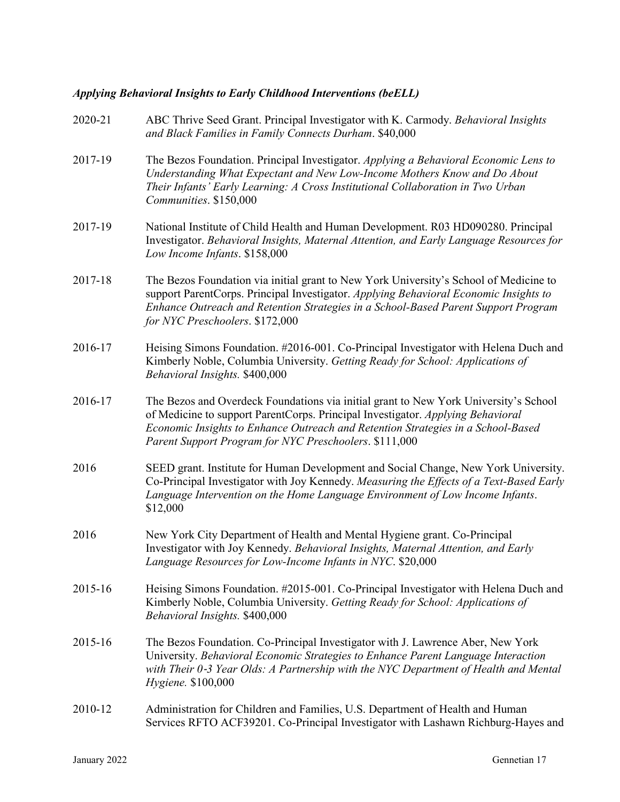# *Applying Behavioral Insights to Early Childhood Interventions (beELL)*

| 2020-21 | ABC Thrive Seed Grant. Principal Investigator with K. Carmody. Behavioral Insights<br>and Black Families in Family Connects Durham. \$40,000                                                                                                                                                                          |
|---------|-----------------------------------------------------------------------------------------------------------------------------------------------------------------------------------------------------------------------------------------------------------------------------------------------------------------------|
| 2017-19 | The Bezos Foundation. Principal Investigator. Applying a Behavioral Economic Lens to<br>Understanding What Expectant and New Low-Income Mothers Know and Do About<br>Their Infants' Early Learning: A Cross Institutional Collaboration in Two Urban<br>Communities. \$150,000                                        |
| 2017-19 | National Institute of Child Health and Human Development. R03 HD090280. Principal<br>Investigator. Behavioral Insights, Maternal Attention, and Early Language Resources for<br>Low Income Infants. \$158,000                                                                                                         |
| 2017-18 | The Bezos Foundation via initial grant to New York University's School of Medicine to<br>support ParentCorps. Principal Investigator. Applying Behavioral Economic Insights to<br>Enhance Outreach and Retention Strategies in a School-Based Parent Support Program<br>for NYC Preschoolers. \$172,000               |
| 2016-17 | Heising Simons Foundation. #2016-001. Co-Principal Investigator with Helena Duch and<br>Kimberly Noble, Columbia University. Getting Ready for School: Applications of<br>Behavioral Insights. \$400,000                                                                                                              |
| 2016-17 | The Bezos and Overdeck Foundations via initial grant to New York University's School<br>of Medicine to support ParentCorps. Principal Investigator. Applying Behavioral<br>Economic Insights to Enhance Outreach and Retention Strategies in a School-Based<br>Parent Support Program for NYC Preschoolers. \$111,000 |
| 2016    | SEED grant. Institute for Human Development and Social Change, New York University.<br>Co-Principal Investigator with Joy Kennedy. Measuring the Effects of a Text-Based Early<br>Language Intervention on the Home Language Environment of Low Income Infants.<br>\$12,000                                           |
| 2016    | New York City Department of Health and Mental Hygiene grant. Co-Principal<br>Investigator with Joy Kennedy. Behavioral Insights, Maternal Attention, and Early<br>Language Resources for Low-Income Infants in NYC. \$20,000                                                                                          |
| 2015-16 | Heising Simons Foundation. #2015-001. Co-Principal Investigator with Helena Duch and<br>Kimberly Noble, Columbia University. Getting Ready for School: Applications of<br>Behavioral Insights. \$400,000                                                                                                              |
| 2015-16 | The Bezos Foundation. Co-Principal Investigator with J. Lawrence Aber, New York<br>University. Behavioral Economic Strategies to Enhance Parent Language Interaction<br>with Their 0-3 Year Olds: A Partnership with the NYC Department of Health and Mental<br>Hygiene. \$100,000                                    |
| 2010-12 | Administration for Children and Families, U.S. Department of Health and Human<br>Services RFTO ACF39201. Co-Principal Investigator with Lashawn Richburg-Hayes and                                                                                                                                                    |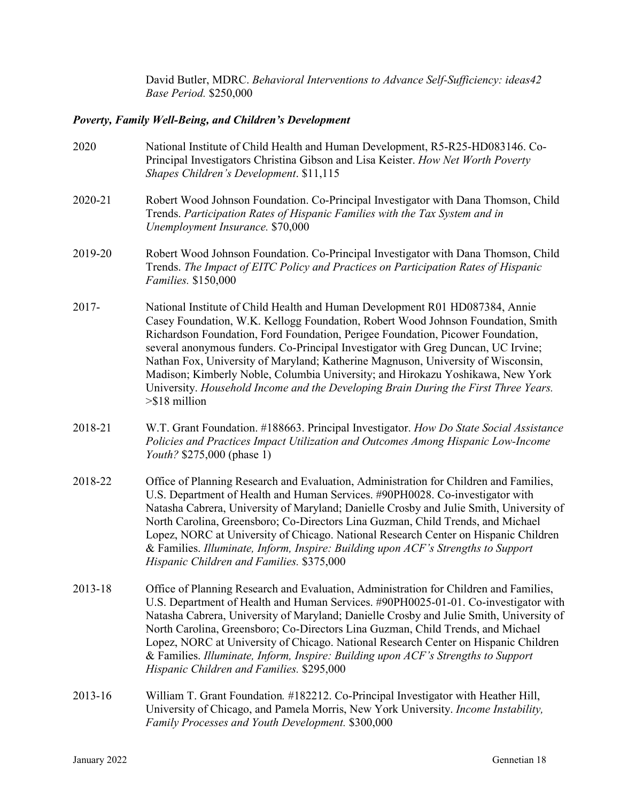David Butler, MDRC. *Behavioral Interventions to Advance Self-Sufficiency: ideas42 Base Period.* \$250,000

# *Poverty, Family Well-Being, and Children's Development*

| 2020    | National Institute of Child Health and Human Development, R5-R25-HD083146. Co-<br>Principal Investigators Christina Gibson and Lisa Keister. How Net Worth Poverty<br>Shapes Children's Development. \$11,115                                                                                                                                                                                                                                                                                                                                                                                                            |
|---------|--------------------------------------------------------------------------------------------------------------------------------------------------------------------------------------------------------------------------------------------------------------------------------------------------------------------------------------------------------------------------------------------------------------------------------------------------------------------------------------------------------------------------------------------------------------------------------------------------------------------------|
| 2020-21 | Robert Wood Johnson Foundation. Co-Principal Investigator with Dana Thomson, Child<br>Trends. Participation Rates of Hispanic Families with the Tax System and in<br>Unemployment Insurance. \$70,000                                                                                                                                                                                                                                                                                                                                                                                                                    |
| 2019-20 | Robert Wood Johnson Foundation. Co-Principal Investigator with Dana Thomson, Child<br>Trends. The Impact of EITC Policy and Practices on Participation Rates of Hispanic<br>Families. \$150,000                                                                                                                                                                                                                                                                                                                                                                                                                          |
| 2017-   | National Institute of Child Health and Human Development R01 HD087384, Annie<br>Casey Foundation, W.K. Kellogg Foundation, Robert Wood Johnson Foundation, Smith<br>Richardson Foundation, Ford Foundation, Perigee Foundation, Picower Foundation,<br>several anonymous funders. Co-Principal Investigator with Greg Duncan, UC Irvine;<br>Nathan Fox, University of Maryland; Katherine Magnuson, University of Wisconsin,<br>Madison; Kimberly Noble, Columbia University; and Hirokazu Yoshikawa, New York<br>University. Household Income and the Developing Brain During the First Three Years.<br>$> $18$ million |
| 2018-21 | W.T. Grant Foundation. #188663. Principal Investigator. How Do State Social Assistance<br>Policies and Practices Impact Utilization and Outcomes Among Hispanic Low-Income<br><i>Youth</i> ? \$275,000 (phase 1)                                                                                                                                                                                                                                                                                                                                                                                                         |
| 2018-22 | Office of Planning Research and Evaluation, Administration for Children and Families,<br>U.S. Department of Health and Human Services. #90PH0028. Co-investigator with<br>Natasha Cabrera, University of Maryland; Danielle Crosby and Julie Smith, University of<br>North Carolina, Greensboro; Co-Directors Lina Guzman, Child Trends, and Michael<br>Lopez, NORC at University of Chicago. National Research Center on Hispanic Children<br>& Families. Illuminate, Inform, Inspire: Building upon ACF's Strengths to Support<br>Hispanic Children and Families. \$375,000                                            |
| 2013-18 | Office of Planning Research and Evaluation, Administration for Children and Families,<br>U.S. Department of Health and Human Services. #90PH0025-01-01. Co-investigator with<br>Natasha Cabrera, University of Maryland; Danielle Crosby and Julie Smith, University of<br>North Carolina, Greensboro; Co-Directors Lina Guzman, Child Trends, and Michael<br>Lopez, NORC at University of Chicago. National Research Center on Hispanic Children<br>& Families. Illuminate, Inform, Inspire: Building upon ACF's Strengths to Support<br>Hispanic Children and Families. \$295,000                                      |
| 2013-16 | William T. Grant Foundation. #182212. Co-Principal Investigator with Heather Hill,<br>University of Chicago, and Pamela Morris, New York University. Income Instability,<br>Family Processes and Youth Development. \$300,000                                                                                                                                                                                                                                                                                                                                                                                            |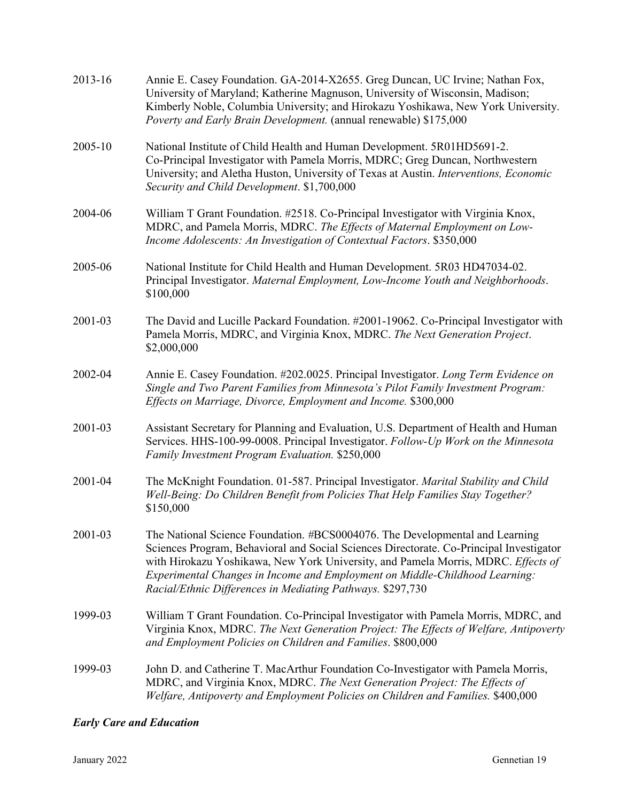| 2013-16 | Annie E. Casey Foundation. GA-2014-X2655. Greg Duncan, UC Irvine; Nathan Fox,<br>University of Maryland; Katherine Magnuson, University of Wisconsin, Madison;<br>Kimberly Noble, Columbia University; and Hirokazu Yoshikawa, New York University.<br>Poverty and Early Brain Development. (annual renewable) \$175,000                                                                                  |
|---------|-----------------------------------------------------------------------------------------------------------------------------------------------------------------------------------------------------------------------------------------------------------------------------------------------------------------------------------------------------------------------------------------------------------|
| 2005-10 | National Institute of Child Health and Human Development. 5R01HD5691-2.<br>Co-Principal Investigator with Pamela Morris, MDRC; Greg Duncan, Northwestern<br>University; and Aletha Huston, University of Texas at Austin. Interventions, Economic<br>Security and Child Development. \$1,700,000                                                                                                          |
| 2004-06 | William T Grant Foundation. #2518. Co-Principal Investigator with Virginia Knox,<br>MDRC, and Pamela Morris, MDRC. The Effects of Maternal Employment on Low-<br>Income Adolescents: An Investigation of Contextual Factors. \$350,000                                                                                                                                                                    |
| 2005-06 | National Institute for Child Health and Human Development. 5R03 HD47034-02.<br>Principal Investigator. Maternal Employment, Low-Income Youth and Neighborhoods.<br>\$100,000                                                                                                                                                                                                                              |
| 2001-03 | The David and Lucille Packard Foundation. #2001-19062. Co-Principal Investigator with<br>Pamela Morris, MDRC, and Virginia Knox, MDRC. The Next Generation Project.<br>\$2,000,000                                                                                                                                                                                                                        |
| 2002-04 | Annie E. Casey Foundation. #202.0025. Principal Investigator. Long Term Evidence on<br>Single and Two Parent Families from Minnesota's Pilot Family Investment Program:<br>Effects on Marriage, Divorce, Employment and Income. \$300,000                                                                                                                                                                 |
| 2001-03 | Assistant Secretary for Planning and Evaluation, U.S. Department of Health and Human<br>Services. HHS-100-99-0008. Principal Investigator. Follow-Up Work on the Minnesota<br><b>Family Investment Program Evaluation. \$250,000</b>                                                                                                                                                                      |
| 2001-04 | The McKnight Foundation. 01-587. Principal Investigator. Marital Stability and Child<br>Well-Being: Do Children Benefit from Policies That Help Families Stay Together?<br>\$150,000                                                                                                                                                                                                                      |
| 2001-03 | The National Science Foundation. #BCS0004076. The Developmental and Learning<br>Sciences Program, Behavioral and Social Sciences Directorate. Co-Principal Investigator<br>with Hirokazu Yoshikawa, New York University, and Pamela Morris, MDRC. Effects of<br>Experimental Changes in Income and Employment on Middle-Childhood Learning:<br>Racial/Ethnic Differences in Mediating Pathways. \$297,730 |
| 1999-03 | William T Grant Foundation. Co-Principal Investigator with Pamela Morris, MDRC, and<br>Virginia Knox, MDRC. The Next Generation Project: The Effects of Welfare, Antipoverty<br>and Employment Policies on Children and Families. \$800,000                                                                                                                                                               |
| 1999-03 | John D. and Catherine T. MacArthur Foundation Co-Investigator with Pamela Morris,<br>MDRC, and Virginia Knox, MDRC. The Next Generation Project: The Effects of<br>Welfare, Antipoverty and Employment Policies on Children and Families. \$400,000                                                                                                                                                       |

# *Early Care and Education*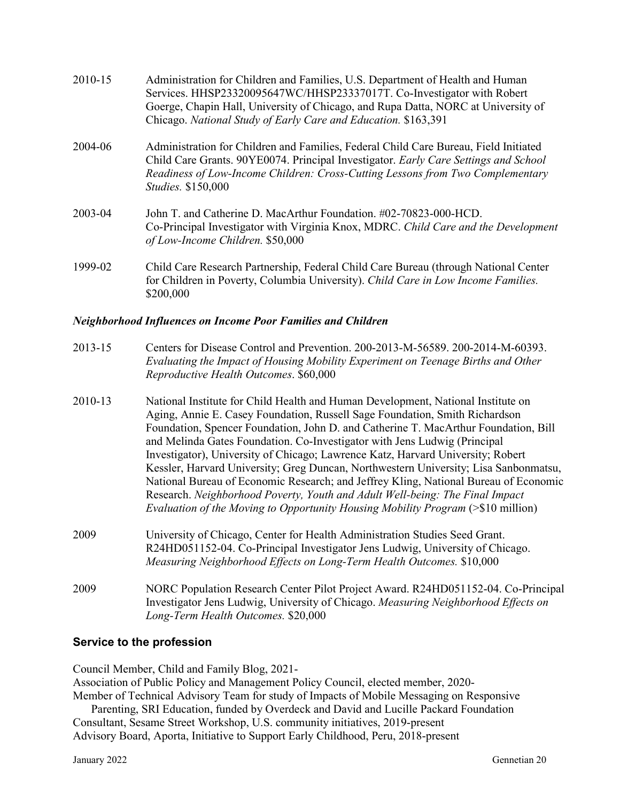| 2010-15 | Administration for Children and Families, U.S. Department of Health and Human<br>Services. HHSP23320095647WC/HHSP23337017T. Co-Investigator with Robert<br>Goerge, Chapin Hall, University of Chicago, and Rupa Datta, NORC at University of<br>Chicago. National Study of Early Care and Education. \$163,391 |
|---------|----------------------------------------------------------------------------------------------------------------------------------------------------------------------------------------------------------------------------------------------------------------------------------------------------------------|
| 2004-06 | Administration for Children and Families, Federal Child Care Bureau, Field Initiated<br>Child Care Grants. 90YE0074. Principal Investigator. Early Care Settings and School<br>Readiness of Low-Income Children: Cross-Cutting Lessons from Two Complementary<br><i>Studies.</i> \$150,000                     |
| 2003-04 | John T. and Catherine D. MacArthur Foundation. #02-70823-000-HCD.<br>Co-Principal Investigator with Virginia Knox, MDRC. Child Care and the Development<br>of Low-Income Children. \$50,000                                                                                                                    |
| 1999-02 | Child Care Research Partnership, Federal Child Care Bureau (through National Center<br>for Children in Poverty, Columbia University). Child Care in Low Income Families.<br>\$200,000                                                                                                                          |

#### *Neighborhood Influences on Income Poor Families and Children*

| $2013 - 15$ | Centers for Disease Control and Prevention. 200-2013-M-56589. 200-2014-M-60393.  |
|-------------|----------------------------------------------------------------------------------|
|             | Evaluating the Impact of Housing Mobility Experiment on Teenage Births and Other |
|             | Reproductive Health Outcomes. \$60,000                                           |

- 2010-13 National Institute for Child Health and Human Development, National Institute on Aging, Annie E. Casey Foundation, Russell Sage Foundation, Smith Richardson Foundation, Spencer Foundation, John D. and Catherine T. MacArthur Foundation, Bill and Melinda Gates Foundation. Co-Investigator with Jens Ludwig (Principal Investigator), University of Chicago; Lawrence Katz, Harvard University; Robert Kessler, Harvard University; Greg Duncan, Northwestern University; Lisa Sanbonmatsu, National Bureau of Economic Research; and Jeffrey Kling, National Bureau of Economic Research. *Neighborhood Poverty, Youth and Adult Well-being: The Final Impact Evaluation of the Moving to Opportunity Housing Mobility Program* (>\$10 million)
- 2009 University of Chicago, Center for Health Administration Studies Seed Grant. R24HD051152-04. Co-Principal Investigator Jens Ludwig, University of Chicago. *Measuring Neighborhood Effects on Long-Term Health Outcomes.* \$10,000
- 2009 NORC Population Research Center Pilot Project Award. R24HD051152-04. Co-Principal Investigator Jens Ludwig, University of Chicago. *Measuring Neighborhood Effects on Long-Term Health Outcomes.* \$20,000

## **Service to the profession**

Council Member, Child and Family Blog, 2021-

Association of Public Policy and Management Policy Council, elected member, 2020- Member of Technical Advisory Team for study of Impacts of Mobile Messaging on Responsive

Parenting, SRI Education, funded by Overdeck and David and Lucille Packard Foundation Consultant, Sesame Street Workshop, U.S. community initiatives, 2019-present Advisory Board, Aporta, Initiative to Support Early Childhood, Peru, 2018-present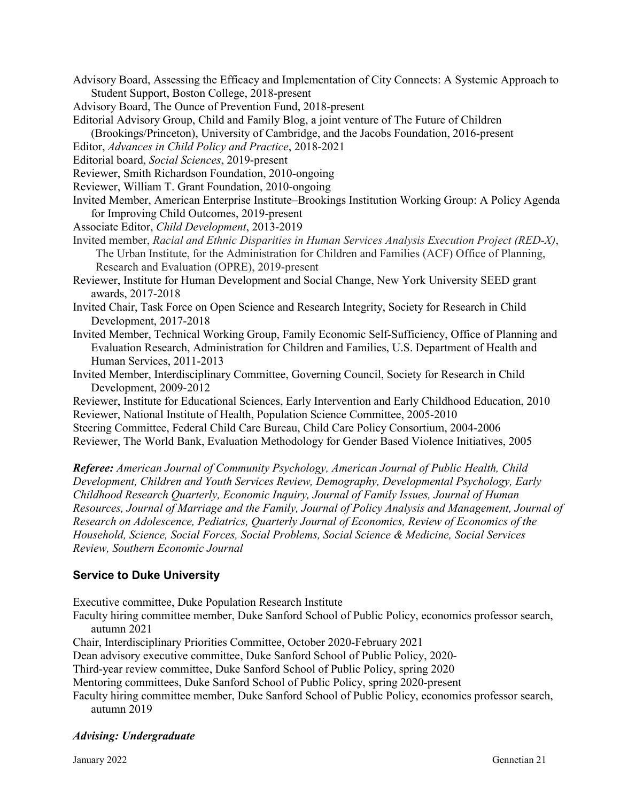Advisory Board, Assessing the Efficacy and Implementation of City Connects: A Systemic Approach to Student Support, Boston College, 2018-present

Advisory Board, The Ounce of Prevention Fund, 2018-present

Editorial Advisory Group, Child and Family Blog, a joint venture of The Future of Children (Brookings/Princeton), University of Cambridge, and the Jacobs Foundation, 2016-present

Editor, *Advances in Child Policy and Practice*, 2018-2021

Editorial board, *Social Sciences*, 2019-present

Reviewer, Smith Richardson Foundation, 2010-ongoing

Reviewer, William T. Grant Foundation, 2010-ongoing

- Invited Member, American Enterprise Institute–Brookings Institution Working Group: A Policy Agenda for Improving Child Outcomes, 2019-present
- Associate Editor, *Child Development*, 2013-2019
- Invited member, *Racial and Ethnic Disparities in Human Services Analysis Execution Project (RED-X)*, The Urban Institute, for the Administration for Children and Families (ACF) Office of Planning, Research and Evaluation (OPRE), 2019-present

Reviewer, Institute for Human Development and Social Change, New York University SEED grant awards, 2017-2018

Invited Chair, Task Force on Open Science and Research Integrity, Society for Research in Child Development, 2017-2018

- Invited Member, Technical Working Group, Family Economic Self-Sufficiency, Office of Planning and Evaluation Research, Administration for Children and Families, U.S. Department of Health and Human Services, 2011-2013
- Invited Member, Interdisciplinary Committee, Governing Council, Society for Research in Child Development, 2009-2012

Reviewer, Institute for Educational Sciences, Early Intervention and Early Childhood Education, 2010 Reviewer, National Institute of Health, Population Science Committee, 2005-2010 Steering Committee, Federal Child Care Bureau, Child Care Policy Consortium, 2004-2006 Reviewer, The World Bank, Evaluation Methodology for Gender Based Violence Initiatives, 2005

*Referee: American Journal of Community Psychology, American Journal of Public Health, Child Development, Children and Youth Services Review, Demography, Developmental Psychology, Early Childhood Research Quarterly, Economic Inquiry, Journal of Family Issues, Journal of Human Resources, Journal of Marriage and the Family, Journal of Policy Analysis and Management, Journal of Research on Adolescence, Pediatrics, Quarterly Journal of Economics, Review of Economics of the Household, Science, Social Forces, Social Problems, Social Science & Medicine, Social Services Review, Southern Economic Journal*

## **Service to Duke University**

Executive committee, Duke Population Research Institute

Faculty hiring committee member, Duke Sanford School of Public Policy, economics professor search, autumn 2021

Chair, Interdisciplinary Priorities Committee, October 2020-February 2021

Dean advisory executive committee, Duke Sanford School of Public Policy, 2020-

Third-year review committee, Duke Sanford School of Public Policy, spring 2020

Mentoring committees, Duke Sanford School of Public Policy, spring 2020-present

Faculty hiring committee member, Duke Sanford School of Public Policy, economics professor search, autumn 2019

## *Advising: Undergraduate*